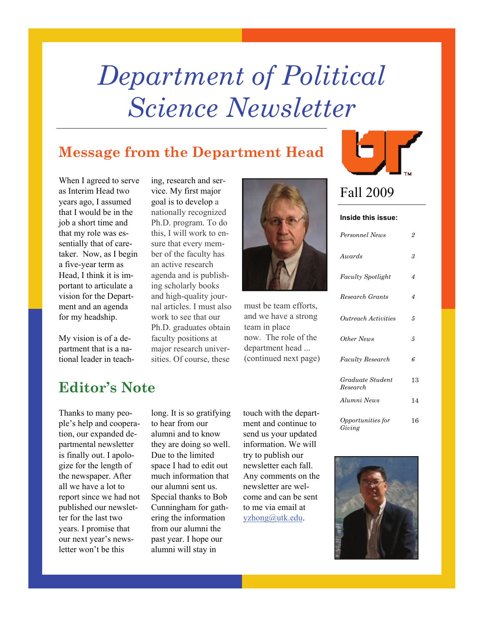# *Department of Political Science Newsletter*

# **Message from the Department Head**



My vision is of a department that is a national leader in teach-

ing, research and service. My first major goal is to develop a nationally recognized Ph.D. program. To do this, I will work to ensure that every member of the faculty has an active research agenda and is publishing scholarly books and high-quality journal articles. I must also work to see that our Ph.D. graduates obtain faculty positions at major research universities. Of course, these



must be team efforts, and we have a strong team in place now. The role of the department head ... (continued next page)



# Fall 2009

### **Inside this issue:**

| Personnel News               | $\overline{2}$ |
|------------------------------|----------------|
| Awards                       | 3              |
| <b>Faculty Spotlight</b>     | 4              |
| Research Grants              | 4              |
| Outreach Activities          | 5              |
| Other News                   | 5              |
| Faculty Research             | 6              |
| Graduate Student<br>Research | 13             |
| Alumni News                  | 14             |
| Opportunities for<br>Giving  | 16             |

# **Editor's Note**

Thanks to many people's help and cooperation, our expanded departmental newsletter is finally out. I apologize for the length of the newspaper. After all we have a lot to report since we had not published our newsletter for the last two years. I promise that our next year's newsletter won't be this

long. It is so gratifying to hear from our alumni and to know they are doing so well. Due to the limited space I had to edit out much information that our alumni sent us. Special thanks to Bob Cunningham for gathering the information from our alumni the past year. I hope our alumni will stay in

touch with the department and continue to send us your updated information. We will try to publish our newsletter each fall. Any comments on the newsletter are welcome and can be sent to me via email at [yzhong@utk.edu.](mailto:yzhong@utk.edu)

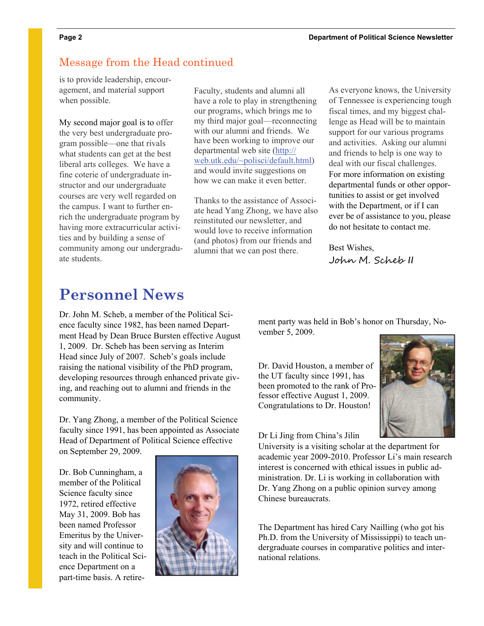# Message from the Head continued

is to provide leadership, encouragement, and material support when possible.

My second major goal is to offer the very best undergraduate program possible—one that rivals what students can get at the best liberal arts colleges. We have a fine coterie of undergraduate instructor and our undergraduate courses are very well regarded on the campus. I want to further enrich the undergraduate program by having more extracurricular activities and by building a sense of community among our undergraduate students.

Faculty, students and alumni all have a role to play in strengthening our programs, which brings me to my third major goal—reconnecting with our alumni and friends. We have been working to improve our departmental web site ([http://](https://tmail.utk.edu/exchweb/bin/redir.asp?URL=http://web.utk.edu/~polisci/default.html) [web.utk.edu/~polisci/default.html](https://tmail.utk.edu/exchweb/bin/redir.asp?URL=http://web.utk.edu/~polisci/default.html)) and would invite suggestions on how we can make it even better.

Thanks to the assistance of Associate head Yang Zhong, we have also reinstituted our newsletter, and would love to receive information (and photos) from our friends and alumni that we can post there.

As everyone knows, the University of Tennessee is experiencing tough fiscal times, and my biggest challenge as Head will be to maintain support for our various programs and activities. Asking our alumni and friends to help is one way to deal with our fiscal challenges. For more information on existing departmental funds or other opportunities to assist or get involved with the Department, or if I can ever be of assistance to you, please do not hesitate to contact me.

Best Wishes, John M. Scheb II

# **Personnel News**

Dr. John M. Scheb, a member of the Political Science faculty since 1982, has been named Department Head by Dean Bruce Bursten effective August 1, 2009. Dr. Scheb has been serving as Interim Head since July of 2007. Scheb's goals include raising the national visibility of the PhD program, developing resources through enhanced private giving, and reaching out to alumni and friends in the community.

Dr. Yang Zhong, a member of the Political Science faculty since 1991, has been appointed as Associate Head of Department of Political Science effective on September 29, 2009.

Dr. Bob Cunningham, a member of the Political Science faculty since 1972, retired effective May 31, 2009. Bob has been named Professor Emeritus by the University and will continue to teach in the Political Science Department on a part-time basis. A retire-



ment party was held in Bob's honor on Thursday, November 5, 2009.

Dr. David Houston, a member of the UT faculty since 1991, has been promoted to the rank of Professor effective August 1, 2009. Congratulations to Dr. Houston!

Dr Li Jing from China's Jilin

University is a visiting scholar at the department for academic year 2009-2010. Professor Li's main research interest is concerned with ethical issues in public administration. Dr. Li is working in collaboration with Dr. Yang Zhong on a public opinion survey among Chinese bureaucrats.

The Department has hired Cary Nailling (who got his Ph.D. from the University of Mississippi) to teach undergraduate courses in comparative politics and international relations.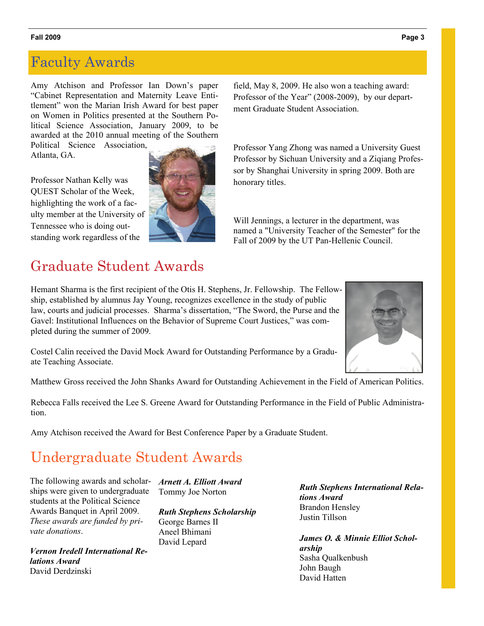# Faculty Awards

Amy Atchison and Professor Ian Down's paper "Cabinet Representation and Maternity Leave Entitlement" won the Marian Irish Award for best paper on Women in Politics presented at the Southern Political Science Association, January 2009, to be awarded at the 2010 annual meeting of the Southern

Political Science Association, Atlanta, GA.

Professor Nathan Kelly was QUEST Scholar of the Week, highlighting the work of a faculty member at the University of Tennessee who is doing outstanding work regardless of the



# Graduate Student Awards

field, May 8, 2009. He also won a teaching award: Professor of the Year" (2008-2009), by our department Graduate Student Association.

Professor Yang Zhong was named a University Guest Professor by Sichuan University and a Ziqiang Professor by Shanghai University in spring 2009. Both are honorary titles.

Will Jennings, a lecturer in the department, was named a "University Teacher of the Semester" for the Fall of 2009 by the UT Pan-Hellenic Council.

Hemant Sharma is the first recipient of the Otis H. Stephens, Jr. Fellowship. The Fellowship, established by alumnus Jay Young, recognizes excellence in the study of public law, courts and judicial processes. Sharma's dissertation, "The Sword, the Purse and the Gavel: Institutional Influences on the Behavior of Supreme Court Justices," was completed during the summer of 2009.



Costel Calin received the David Mock Award for Outstanding Performance by a Graduate Teaching Associate.

Matthew Gross received the John Shanks Award for Outstanding Achievement in the Field of American Politics.

Rebecca Falls received the Lee S. Greene Award for Outstanding Performance in the Field of Public Administration.

Amy Atchison received the Award for Best Conference Paper by a Graduate Student.

# Undergraduate Student Awards

The following awards and scholarships were given to undergraduate students at the Political Science Awards Banquet in April 2009. *These awards are funded by private donations*.

*Vernon Iredell International Relations Award*  David Derdzinski

*Arnett A. Elliott Award*  Tommy Joe Norton

*Ruth Stephens Scholarship*  George Barnes II Aneel Bhimani David Lepard

*Ruth Stephens International Relations Award*  Brandon Hensley Justin Tillson

*James O. & Minnie Elliot Scholarship*  Sasha Qualkenbush John Baugh David Hatten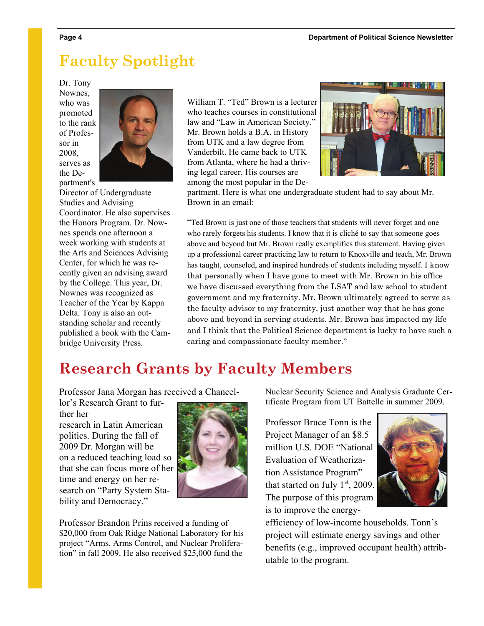# **Faculty Spotlight**

Dr. Tony Nownes, who was promoted to the rank of Professor in 2008, serves as the Department's



Director of Undergraduate Studies and Advising Coordinator. He also supervises the Honors Program. Dr. Nownes spends one afternoon a week working with students at the Arts and Sciences Advising Center, for which he was recently given an advising award by the College. This year, Dr. Nownes was recognized as Teacher of the Year by Kappa Delta. Tony is also an outstanding scholar and recently published a book with the Cambridge University Press.

William T. "Ted" Brown is a lecturer who teaches courses in constitutional law and "Law in American Society." Mr. Brown holds a B.A. in History from UTK and a law degree from Vanderbilt. He came back to UTK from Atlanta, where he had a thriving legal career. His courses are among the most popular in the De-



partment. Here is what one undergraduate student had to say about Mr. Brown in an email:

"Ted Brown is just one of those teachers that students will never forget and one who rarely forgets his students. I know that it is cliché to say that someone goes above and beyond but Mr. Brown really exemplifies this statement. Having given up a professional career practicing law to return to Knoxville and teach, Mr. Brown has taught, counseled, and inspired hundreds of students including myself. I know that personally when I have gone to meet with Mr. Brown in his office we have discussed everything from the LSAT and law school to student government and my fraternity. Mr. Brown ultimately agreed to serve as the faculty advisor to my fraternity, just another way that he has gone above and beyond in serving students. Mr. Brown has impacted my life and I think that the Political Science department is lucky to have such a caring and compassionate faculty member."

# **Research Grants by Faculty Members**

Professor Jana Morgan has received a Chancel-

lor's Research Grant to further her

research in Latin American politics. During the fall of 2009 Dr. Morgan will be on a reduced teaching load so that she can focus more of her time and energy on her research on "Party System Stability and Democracy."



Professor Brandon Prins received a funding of \$20,000 from Oak Ridge National Laboratory for his project "Arms, Arms Control, and Nuclear Proliferation" in fall 2009. He also received \$25,000 fund the

Nuclear Security Science and Analysis Graduate Certificate Program from UT Battelle in summer 2009.

Professor Bruce Tonn is the Project Manager of an \$8.5 million U.S. DOE "National Evaluation of Weatherization Assistance Program" that started on July  $1<sup>st</sup>$ , 2009. The purpose of this program is to improve the energy-



efficiency of low-income households. Tonn's project will estimate energy savings and other benefits (e.g., improved occupant health) attributable to the program.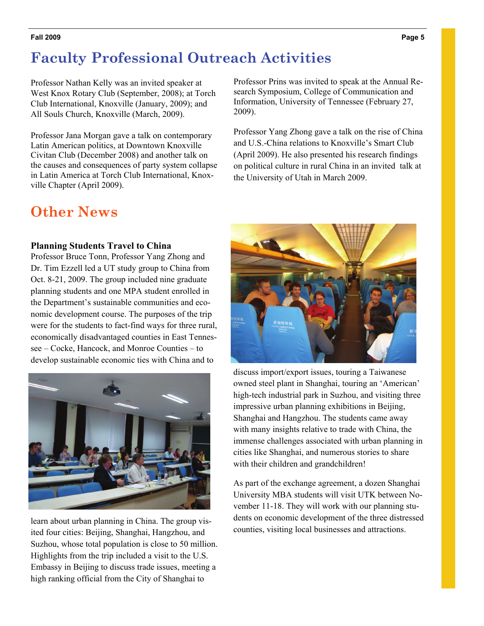# **Faculty Professional Outreach Activities**

Professor Nathan Kelly was an invited speaker at West Knox Rotary Club (September, 2008); at Torch Club International, Knoxville (January, 2009); and All Souls Church, Knoxville (March, 2009).

Professor Jana Morgan gave a talk on contemporary Latin American politics, at Downtown Knoxville Civitan Club (December 2008) and another talk on the causes and consequences of party system collapse in Latin America at Torch Club International, Knoxville Chapter (April 2009).

# **Other News**

# **Planning Students Travel to China**

Professor Bruce Tonn, Professor Yang Zhong and Dr. Tim Ezzell led a UT study group to China from Oct. 8-21, 2009. The group included nine graduate planning students and one MPA student enrolled in the Department's sustainable communities and economic development course. The purposes of the trip were for the students to fact-find ways for three rural, economically disadvantaged counties in East Tennessee – Cocke, Hancock, and Monroe Counties – to develop sustainable economic ties with China and to



learn about urban planning in China. The group visited four cities: Beijing, Shanghai, Hangzhou, and Suzhou, whose total population is close to 50 million. Highlights from the trip included a visit to the U.S. Embassy in Beijing to discuss trade issues, meeting a high ranking official from the City of Shanghai to

Professor Prins was invited to speak at the Annual Research Symposium, College of Communication and Information, University of Tennessee (February 27, 2009).

Professor Yang Zhong gave a talk on the rise of China and U.S.-China relations to Knoxville's Smart Club (April 2009). He also presented his research findings on political culture in rural China in an invited talk at the University of Utah in March 2009.



discuss import/export issues, touring a Taiwanese owned steel plant in Shanghai, touring an 'American' high-tech industrial park in Suzhou, and visiting three impressive urban planning exhibitions in Beijing, Shanghai and Hangzhou. The students came away with many insights relative to trade with China, the immense challenges associated with urban planning in cities like Shanghai, and numerous stories to share with their children and grandchildren!

As part of the exchange agreement, a dozen Shanghai University MBA students will visit UTK between November 11-18. They will work with our planning students on economic development of the three distressed counties, visiting local businesses and attractions.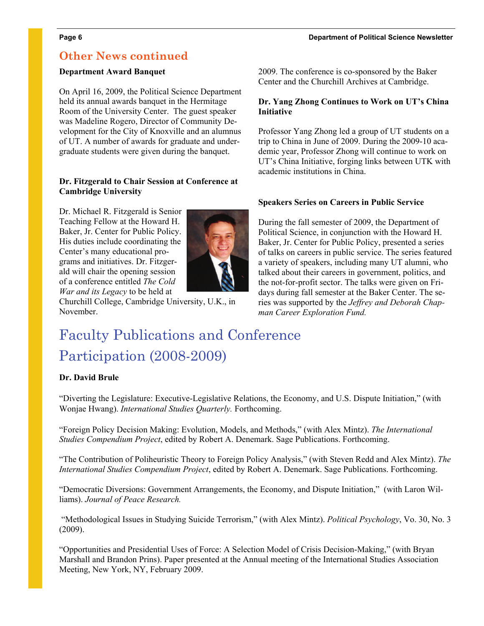### **Page 6 Department of Political Science Newsletter**

# **Other News continued**

# **Department Award Banquet**

On April 16, 2009, the Political Science Department held its annual awards banquet in the Hermitage Room of the University Center. The guest speaker was Madeline Rogero, Director of Community Development for the City of Knoxville and an alumnus of UT. A number of awards for graduate and undergraduate students were given during the banquet.

# **Dr. Fitzgerald to Chair Session at Conference at Cambridge University**

Dr. Michael R. Fitzgerald is Senior Teaching Fellow at the Howard H. Baker, Jr. Center for Public Policy. His duties include coordinating the Center's many educational programs and initiatives. Dr. Fitzgerald will chair the opening session of a conference entitled *The Cold War and its Legacy* to be held at



Churchill College, Cambridge University, U.K., in November.

## 2009. The conference is co-sponsored by the Baker Center and the Churchill Archives at Cambridge.

# **Dr. Yang Zhong Continues to Work on UT's China Initiative**

Professor Yang Zhong led a group of UT students on a trip to China in June of 2009. During the 2009-10 academic year, Professor Zhong will continue to work on UT's China Initiative, forging links between UTK with academic institutions in China.

# **Speakers Series on Careers in Public Service**

During the fall semester of 2009, the Department of Political Science, in conjunction with the Howard H. Baker, Jr. Center for Public Policy, presented a series of talks on careers in public service. The series featured a variety of speakers, including many UT alumni, who talked about their careers in government, politics, and the not-for-profit sector. The talks were given on Fridays during fall semester at the Baker Center. The series was supported by the *Jeffrey and Deborah Chapman Career Exploration Fund.*

# Faculty Publications and Conference Participation (2008-2009)

# **Dr. David Brule**

"Diverting the Legislature: Executive-Legislative Relations, the Economy, and U.S. Dispute Initiation," (with Wonjae Hwang). *International Studies Quarterly.* Forthcoming.

"Foreign Policy Decision Making: Evolution, Models, and Methods," (with Alex Mintz). *The International Studies Compendium Project*, edited by Robert A. Denemark. Sage Publications. Forthcoming.

"The Contribution of Poliheuristic Theory to Foreign Policy Analysis," (with Steven Redd and Alex Mintz). *The International Studies Compendium Project*, edited by Robert A. Denemark. Sage Publications. Forthcoming.

"Democratic Diversions: Government Arrangements, the Economy, and Dispute Initiation," (with Laron Williams). *Journal of Peace Research.* 

 "Methodological Issues in Studying Suicide Terrorism," (with Alex Mintz). *Political Psychology*, Vo. 30, No. 3 (2009).

"Opportunities and Presidential Uses of Force: A Selection Model of Crisis Decision-Making," (with Bryan Marshall and Brandon Prins). Paper presented at the Annual meeting of the International Studies Association Meeting, New York, NY, February 2009.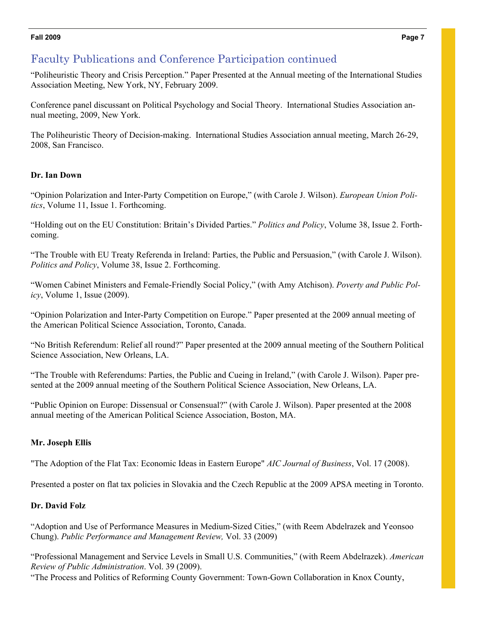# Faculty Publications and Conference Participation continued

"Poliheuristic Theory and Crisis Perception." Paper Presented at the Annual meeting of the International Studies Association Meeting, New York, NY, February 2009.

Conference panel discussant on Political Psychology and Social Theory. International Studies Association annual meeting, 2009, New York.

The Poliheuristic Theory of Decision-making. International Studies Association annual meeting, March 26-29, 2008, San Francisco.

# **Dr. Ian Down**

"Opinion Polarization and Inter-Party Competition on Europe," (with Carole J. Wilson). *European Union Politics*, Volume 11, Issue 1. Forthcoming.

"Holding out on the EU Constitution: Britain's Divided Parties." *Politics and Policy*, Volume 38, Issue 2. Forthcoming.

"The Trouble with EU Treaty Referenda in Ireland: Parties, the Public and Persuasion," (with Carole J. Wilson). *Politics and Policy*, Volume 38, Issue 2. Forthcoming.

"Women Cabinet Ministers and Female-Friendly Social Policy," (with Amy Atchison). *Poverty and Public Policy*, Volume 1, Issue (2009).

"Opinion Polarization and Inter-Party Competition on Europe." Paper presented at the 2009 annual meeting of the American Political Science Association, Toronto, Canada.

"No British Referendum: Relief all round?" Paper presented at the 2009 annual meeting of the Southern Political Science Association, New Orleans, LA.

"The Trouble with Referendums: Parties, the Public and Cueing in Ireland," (with Carole J. Wilson). Paper presented at the 2009 annual meeting of the Southern Political Science Association, New Orleans, LA.

"Public Opinion on Europe: Dissensual or Consensual?" (with Carole J. Wilson). Paper presented at the 2008 annual meeting of the American Political Science Association, Boston, MA.

# **Mr. Joseph Ellis**

"The Adoption of the Flat Tax: Economic Ideas in Eastern Europe" *AIC Journal of Business*, Vol. 17 (2008).

Presented a poster on flat tax policies in Slovakia and the Czech Republic at the 2009 APSA meeting in Toronto.

# **Dr. David Folz**

"Adoption and Use of Performance Measures in Medium-Sized Cities," (with Reem Abdelrazek and Yeonsoo Chung). *Public Performance and Management Review,* Vol. 33 (2009)

"Professional Management and Service Levels in Small U.S. Communities," (with Reem Abdelrazek). *American Review of Public Administration*. Vol. 39 (2009).

"The Process and Politics of Reforming County Government: Town-Gown Collaboration in Knox County,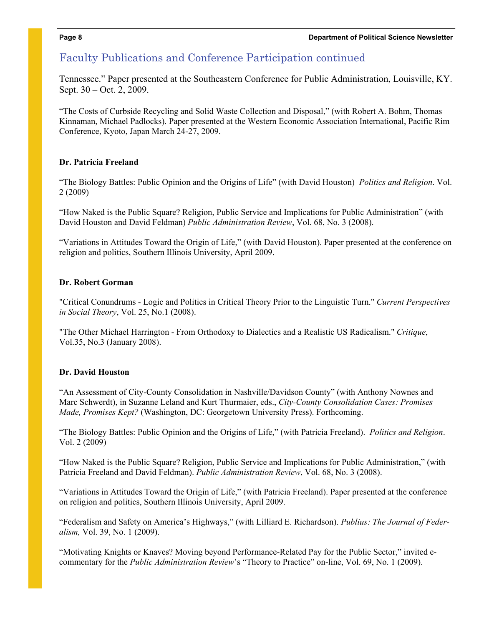# Faculty Publications and Conference Participation continued

Tennessee." Paper presented at the Southeastern Conference for Public Administration, Louisville, KY. Sept. 30 – Oct. 2, 2009.

"The Costs of Curbside Recycling and Solid Waste Collection and Disposal," (with Robert A. Bohm, Thomas Kinnaman, Michael Padlocks). Paper presented at the Western Economic Association International, Pacific Rim Conference, Kyoto, Japan March 24-27, 2009.

# **Dr. Patricia Freeland**

"The Biology Battles: Public Opinion and the Origins of Life" (with David Houston) *Politics and Religion*. Vol. 2 (2009)

"How Naked is the Public Square? Religion, Public Service and Implications for Public Administration" (with David Houston and David Feldman) *Public Administration Review*, Vol. 68, No. 3 (2008).

"Variations in Attitudes Toward the Origin of Life," (with David Houston). Paper presented at the conference on religion and politics, Southern Illinois University, April 2009.

# **Dr. Robert Gorman**

"Critical Conundrums - Logic and Politics in Critical Theory Prior to the Linguistic Turn." *Current Perspectives in Social Theory*, Vol. 25, No.1 (2008).

"The Other Michael Harrington - From Orthodoxy to Dialectics and a Realistic US Radicalism." *Critique*, Vol.35, No.3 (January 2008).

# **Dr. David Houston**

"An Assessment of City-County Consolidation in Nashville/Davidson County" (with Anthony Nownes and Marc Schwerdt), in Suzanne Leland and Kurt Thurmaier, eds., *City-County Consolidation Cases: Promises Made, Promises Kept?* (Washington, DC: Georgetown University Press). Forthcoming.

"The Biology Battles: Public Opinion and the Origins of Life," (with Patricia Freeland). *Politics and Religion*. Vol. 2 (2009)

"How Naked is the Public Square? Religion, Public Service and Implications for Public Administration," (with Patricia Freeland and David Feldman). *Public Administration Review*, Vol. 68, No. 3 (2008).

"Variations in Attitudes Toward the Origin of Life," (with Patricia Freeland). Paper presented at the conference on religion and politics, Southern Illinois University, April 2009.

"Federalism and Safety on America's Highways," (with Lilliard E. Richardson). *Publius: The Journal of Federalism,* Vol. 39, No. 1 (2009).

"Motivating Knights or Knaves? Moving beyond Performance-Related Pay for the Public Sector," invited ecommentary for the *Public Administration Review*'s "Theory to Practice" on-line, Vol. 69, No. 1 (2009).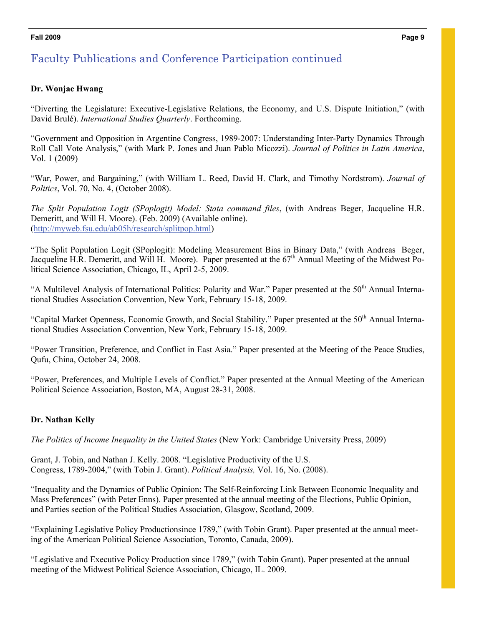# Faculty Publications and Conference Participation continued

# **Dr. Wonjae Hwang**

"Diverting the Legislature: Executive-Legislative Relations, the Economy, and U.S. Dispute Initiation," (with David Brulé). *International Studies Quarterly*. Forthcoming.

"Government and Opposition in Argentine Congress, 1989-2007: Understanding Inter-Party Dynamics Through Roll Call Vote Analysis," (with Mark P. Jones and Juan Pablo Micozzi). *Journal of Politics in Latin America*, Vol. 1 (2009)

"War, Power, and Bargaining," (with William L. Reed, David H. Clark, and Timothy Nordstrom). *Journal of Politics*, Vol. 70, No. 4, (October 2008).

*The Split Population Logit (SPoplogit) Model: Stata command files*, (with Andreas Beger, Jacqueline H.R. Demeritt, and Will H. Moore). (Feb. 2009) (Available online). (<http://myweb.fsu.edu/ab05h/research/splitpop.html>)

"The Split Population Logit (SPoplogit): Modeling Measurement Bias in Binary Data," (with Andreas Beger, Jacqueline H.R. Demeritt, and Will H. Moore). Paper presented at the 67<sup>th</sup> Annual Meeting of the Midwest Political Science Association, Chicago, IL, April 2-5, 2009.

"A Multilevel Analysis of International Politics: Polarity and War." Paper presented at the 50<sup>th</sup> Annual International Studies Association Convention, New York, February 15-18, 2009.

"Capital Market Openness, Economic Growth, and Social Stability." Paper presented at the 50<sup>th</sup> Annual International Studies Association Convention, New York, February 15-18, 2009.

"Power Transition, Preference, and Conflict in East Asia." Paper presented at the Meeting of the Peace Studies, Qufu, China, October 24, 2008.

"Power, Preferences, and Multiple Levels of Conflict." Paper presented at the Annual Meeting of the American Political Science Association, Boston, MA, August 28-31, 2008.

# **Dr. Nathan Kelly**

*The Politics of Income Inequality in the United States* (New York: Cambridge University Press, 2009)

Grant, J. Tobin, and Nathan J. Kelly. 2008. "Legislative Productivity of the U.S. Congress, 1789-2004," (with Tobin J. Grant). *Political Analysis,* Vol. 16, No. (2008).

"Inequality and the Dynamics of Public Opinion: The Self-Reinforcing Link Between Economic Inequality and Mass Preferences" (with Peter Enns). Paper presented at the annual meeting of the Elections, Public Opinion, and Parties section of the Political Studies Association, Glasgow, Scotland, 2009.

"Explaining Legislative Policy Productionsince 1789," (with Tobin Grant). Paper presented at the annual meeting of the American Political Science Association, Toronto, Canada, 2009).

"Legislative and Executive Policy Production since 1789," (with Tobin Grant). Paper presented at the annual meeting of the Midwest Political Science Association, Chicago, IL. 2009.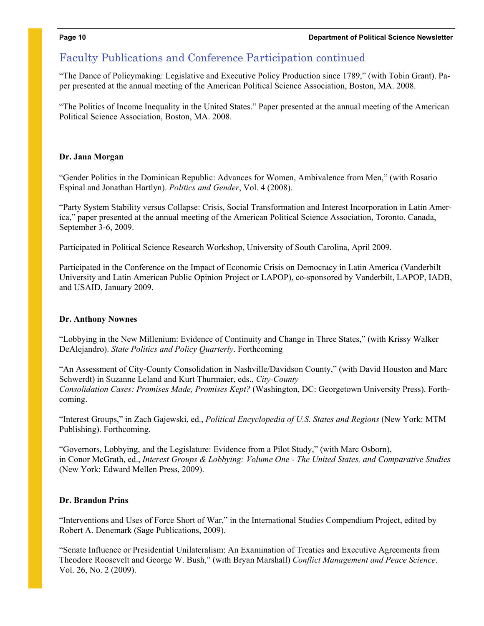# Faculty Publications and Conference Participation continued

"The Dance of Policymaking: Legislative and Executive Policy Production since 1789," (with Tobin Grant). Paper presented at the annual meeting of the American Political Science Association, Boston, MA. 2008.

"The Politics of Income Inequality in the United States." Paper presented at the annual meeting of the American Political Science Association, Boston, MA. 2008.

# **Dr. Jana Morgan**

"Gender Politics in the Dominican Republic: Advances for Women, Ambivalence from Men," (with Rosario Espinal and Jonathan Hartlyn). *Politics and Gender*, Vol. 4 (2008).

"Party System Stability versus Collapse: Crisis, Social Transformation and Interest Incorporation in Latin America," paper presented at the annual meeting of the American Political Science Association, Toronto, Canada, September 3-6, 2009.

Participated in Political Science Research Workshop, University of South Carolina, April 2009.

Participated in the Conference on the Impact of Economic Crisis on Democracy in Latin America (Vanderbilt University and Latin American Public Opinion Project or LAPOP), co-sponsored by Vanderbilt, LAPOP, IADB, and USAID, January 2009.

# **Dr. Anthony Nownes**

"Lobbying in the New Millenium: Evidence of Continuity and Change in Three States," (with Krissy Walker DeAlejandro). *State Politics and Policy Quarterly*. Forthcoming

"An Assessment of City-County Consolidation in Nashville/Davidson County," (with David Houston and Marc Schwerdt) in Suzanne Leland and Kurt Thurmaier, eds., *City-County Consolidation Cases: Promises Made, Promises Kept?* (Washington, DC: Georgetown University Press). Forthcoming.

"Interest Groups," in Zach Gajewski, ed., *Political Encyclopedia of U.S. States and Regions* (New York: MTM Publishing). Forthcoming.

"Governors, Lobbying, and the Legislature: Evidence from a Pilot Study," (with Marc Osborn), in Conor McGrath, ed., *Interest Groups & Lobbying: Volume One - The United States, and Comparative Studies*  (New York: Edward Mellen Press, 2009).

# **Dr. Brandon Prins**

"Interventions and Uses of Force Short of War," in the International Studies Compendium Project, edited by Robert A. Denemark (Sage Publications, 2009).

"Senate Influence or Presidential Unilateralism: An Examination of Treaties and Executive Agreements from Theodore Roosevelt and George W. Bush," (with Bryan Marshall) *Conflict Management and Peace Science*. Vol. 26, No. 2 (2009).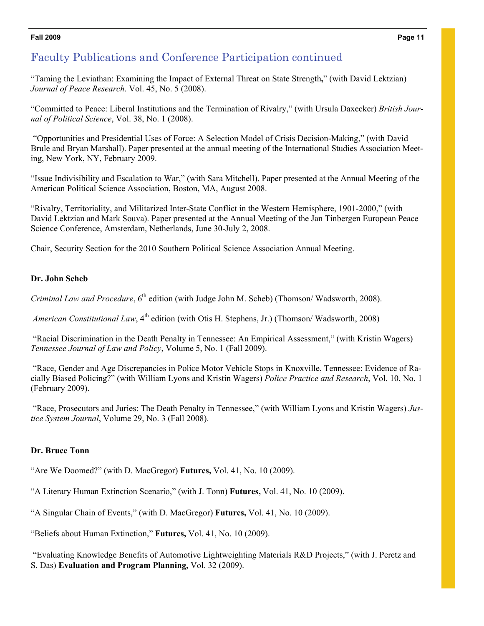# Faculty Publications and Conference Participation continued

"Taming the Leviathan: Examining the Impact of External Threat on State Strength**,**" (with David Lektzian) *Journal of Peace Research*. Vol. 45, No. 5 (2008).

"Committed to Peace: Liberal Institutions and the Termination of Rivalry," (with Ursula Daxecker) *British Journal of Political Science*, Vol. 38, No. 1 (2008).

"Opportunities and Presidential Uses of Force: A Selection Model of Crisis Decision-Making," (with David Brule and Bryan Marshall). Paper presented at the annual meeting of the International Studies Association Meeting, New York, NY, February 2009.

"Issue Indivisibility and Escalation to War," (with Sara Mitchell). Paper presented at the Annual Meeting of the American Political Science Association, Boston, MA, August 2008.

"Rivalry, Territoriality, and Militarized Inter-State Conflict in the Western Hemisphere, 1901-2000," (with David Lektzian and Mark Souva). Paper presented at the Annual Meeting of the Jan Tinbergen European Peace Science Conference, Amsterdam, Netherlands, June 30-July 2, 2008.

Chair, Security Section for the 2010 Southern Political Science Association Annual Meeting.

# **Dr. John Scheb**

*Criminal Law and Procedure*, 6<sup>th</sup> edition (with Judge John M. Scheb) (Thomson/ Wadsworth, 2008).

*American Constitutional Law*, 4<sup>th</sup> edition (with Otis H. Stephens, Jr.) (Thomson/ Wadsworth, 2008)

 "Racial Discrimination in the Death Penalty in Tennessee: An Empirical Assessment," (with Kristin Wagers) *Tennessee Journal of Law and Policy*, Volume 5, No. 1 (Fall 2009).

 "Race, Gender and Age Discrepancies in Police Motor Vehicle Stops in Knoxville, Tennessee: Evidence of Racially Biased Policing?" (with William Lyons and Kristin Wagers) *Police Practice and Research*, Vol. 10, No. 1 (February 2009).

 "Race, Prosecutors and Juries: The Death Penalty in Tennessee," (with William Lyons and Kristin Wagers) *Justice System Journal*, Volume 29, No. 3 (Fall 2008).

# **Dr. Bruce Tonn**

"Are We Doomed?" (with D. MacGregor) **Futures,** Vol. 41, No. 10 (2009).

"A Literary Human Extinction Scenario," (with J. Tonn) **Futures,** Vol. 41, No. 10 (2009).

"A Singular Chain of Events," (with D. MacGregor) **Futures,** Vol. 41, No. 10 (2009).

"Beliefs about Human Extinction," **Futures,** Vol. 41, No. 10 (2009).

 "Evaluating Knowledge Benefits of Automotive Lightweighting Materials R&D Projects," (with J. Peretz and S. Das) **Evaluation and Program Planning,** Vol. 32 (2009).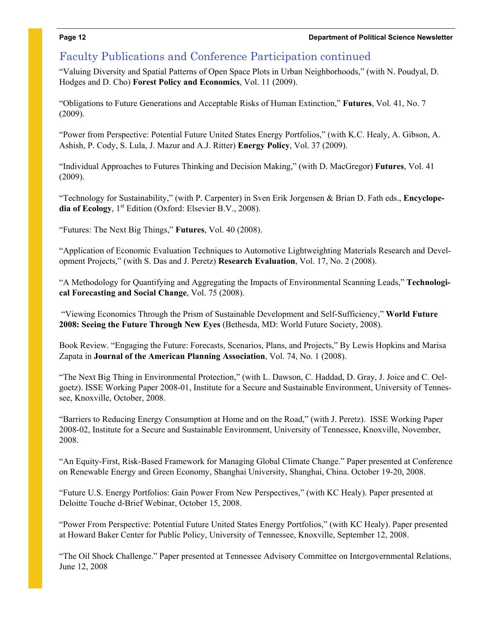# Faculty Publications and Conference Participation continued

"Valuing Diversity and Spatial Patterns of Open Space Plots in Urban Neighborhoods," (with N. Poudyal, D. Hodges and D. Cho) **Forest Policy and Economics**, Vol. 11 (2009).

"Obligations to Future Generations and Acceptable Risks of Human Extinction," **Futures**, Vol. 41, No. 7 (2009).

"Power from Perspective: Potential Future United States Energy Portfolios," (with K.C. Healy, A. Gibson, A. Ashish, P. Cody, S. Lula, J. Mazur and A.J. Ritter) **Energy Policy**, Vol. 37 (2009).

"Individual Approaches to Futures Thinking and Decision Making," (with D. MacGregor) **Futures**, Vol. 41 (2009).

"Technology for Sustainability," (with P. Carpenter) in Sven Erik Jorgensen & Brian D. Fath eds., **Encyclope**dia of Ecology, 1<sup>st</sup> Edition (Oxford: Elsevier B.V., 2008).

"Futures: The Next Big Things," **Futures**, Vol. 40 (2008).

"Application of Economic Evaluation Techniques to Automotive Lightweighting Materials Research and Development Projects," (with S. Das and J. Peretz) **Research Evaluation**, Vol. 17, No. 2 (2008).

"A Methodology for Quantifying and Aggregating the Impacts of Environmental Scanning Leads," **Technological Forecasting and Social Change**, Vol. 75 (2008).

 "Viewing Economics Through the Prism of Sustainable Development and Self-Sufficiency," **World Future 2008: Seeing the Future Through New Eyes** (Bethesda, MD: World Future Society, 2008).

Book Review. "Engaging the Future: Forecasts, Scenarios, Plans, and Projects," By Lewis Hopkins and Marisa Zapata in **Journal of the American Planning Association**, Vol. 74, No. 1 (2008).

"The Next Big Thing in Environmental Protection," (with L. Dawson, C. Haddad, D. Gray, J. Joice and C. Oelgoetz). ISSE Working Paper 2008-01, Institute for a Secure and Sustainable Environment, University of Tennessee, Knoxville, October, 2008.

"Barriers to Reducing Energy Consumption at Home and on the Road," (with J. Peretz). ISSE Working Paper 2008-02, Institute for a Secure and Sustainable Environment, University of Tennessee, Knoxville, November, 2008.

"An Equity-First, Risk-Based Framework for Managing Global Climate Change." Paper presented at Conference on Renewable Energy and Green Economy, Shanghai University, Shanghai, China. October 19-20, 2008.

"Future U.S. Energy Portfolios: Gain Power From New Perspectives," (with KC Healy). Paper presented at Deloitte Touche d-Brief Webinar, October 15, 2008.

"Power From Perspective: Potential Future United States Energy Portfolios," (with KC Healy). Paper presented at Howard Baker Center for Public Policy, University of Tennessee, Knoxville, September 12, 2008.

"The Oil Shock Challenge." Paper presented at Tennessee Advisory Committee on Intergovernmental Relations, June 12, 2008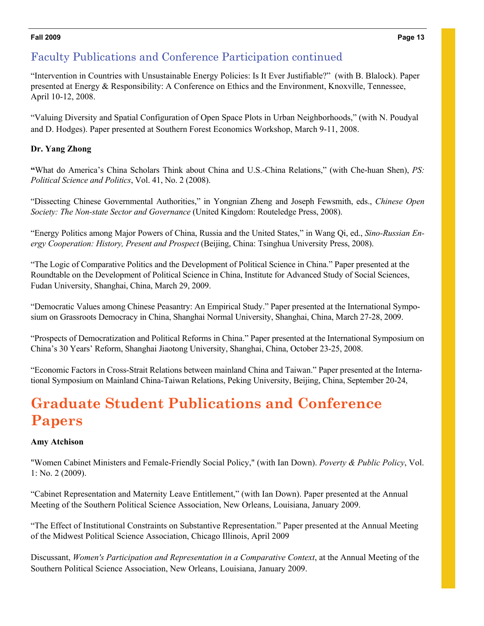# Faculty Publications and Conference Participation continued

"Intervention in Countries with Unsustainable Energy Policies: Is It Ever Justifiable?" (with B. Blalock). Paper presented at Energy & Responsibility: A Conference on Ethics and the Environment, Knoxville, Tennessee, April 10-12, 2008.

"Valuing Diversity and Spatial Configuration of Open Space Plots in Urban Neighborhoods," (with N. Poudyal and D. Hodges). Paper presented at Southern Forest Economics Workshop, March 9-11, 2008.

# **Dr. Yang Zhong**

**"**What do America's China Scholars Think about China and U.S.-China Relations," (with Che-huan Shen), *PS: Political Science and Politics*, Vol. 41, No. 2 (2008).

"Dissecting Chinese Governmental Authorities," in Yongnian Zheng and Joseph Fewsmith, eds., *Chinese Open Society: The Non-state Sector and Governance* (United Kingdom: Routeledge Press, 2008).

"Energy Politics among Major Powers of China, Russia and the United States," in Wang Qi, ed., *Sino-Russian Energy Cooperation: History, Present and Prospect* (Beijing, China: Tsinghua University Press, 2008).

"The Logic of Comparative Politics and the Development of Political Science in China." Paper presented at the Roundtable on the Development of Political Science in China, Institute for Advanced Study of Social Sciences, Fudan University, Shanghai, China, March 29, 2009.

"Democratic Values among Chinese Peasantry: An Empirical Study." Paper presented at the International Symposium on Grassroots Democracy in China, Shanghai Normal University, Shanghai, China, March 27-28, 2009.

"Prospects of Democratization and Political Reforms in China." Paper presented at the International Symposium on China's 30 Years' Reform, Shanghai Jiaotong University, Shanghai, China, October 23-25, 2008.

"Economic Factors in Cross-Strait Relations between mainland China and Taiwan." Paper presented at the International Symposium on Mainland China-Taiwan Relations, Peking University, Beijing, China, September 20-24,

# **Graduate Student Publications and Conference Papers**

# **Amy Atchison**

"Women Cabinet Ministers and Female-Friendly Social Policy," (with Ian Down). *Poverty & Public Policy*, Vol. 1: No. 2 (2009).

"Cabinet Representation and Maternity Leave Entitlement," (with Ian Down). Paper presented at the Annual Meeting of the Southern Political Science Association, New Orleans, Louisiana, January 2009.

"The Effect of Institutional Constraints on Substantive Representation." Paper presented at the Annual Meeting of the Midwest Political Science Association, Chicago Illinois, April 2009

Discussant, *Women's Participation and Representation in a Comparative Context*, at the Annual Meeting of the Southern Political Science Association, New Orleans, Louisiana, January 2009.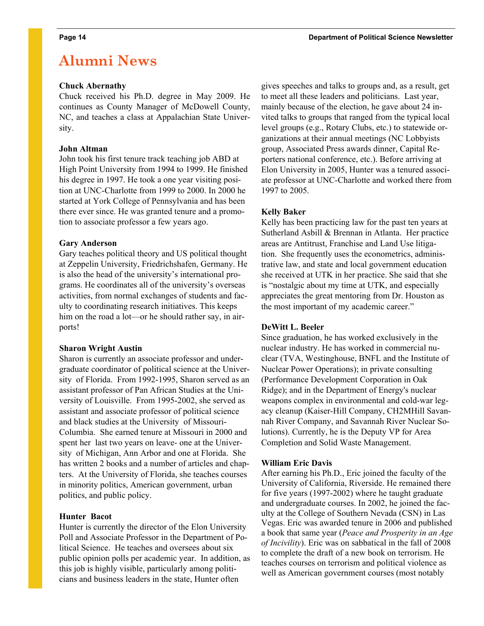# **Alumni News**

### **Chuck Abernathy**

Chuck received his Ph.D. degree in May 2009. He continues as County Manager of McDowell County, NC, and teaches a class at Appalachian State University.

## **John Altman**

John took his first tenure track teaching job ABD at High Point University from 1994 to 1999. He finished his degree in 1997. He took a one year visiting position at UNC-Charlotte from 1999 to 2000. In 2000 he started at York College of Pennsylvania and has been there ever since. He was granted tenure and a promotion to associate professor a few years ago.

### **Gary Anderson**

Gary teaches political theory and US political thought at Zeppelin University, Friedrichshafen, Germany. He is also the head of the university's international programs. He coordinates all of the university's overseas activities, from normal exchanges of students and faculty to coordinating research initiatives. This keeps him on the road a lot—or he should rather say, in airports!

# **Sharon Wright Austin**

Sharon is currently an associate professor and undergraduate coordinator of political science at the University of Florida. From 1992-1995, Sharon served as an assistant professor of Pan African Studies at the University of Louisville. From 1995-2002, she served as assistant and associate professor of political science and black studies at the University of Missouri-Columbia. She earned tenure at Missouri in 2000 and spent her last two years on leave- one at the University of Michigan, Ann Arbor and one at Florida. She has written 2 books and a number of articles and chapters. At the University of Florida, she teaches courses in minority politics, American government, urban politics, and public policy.

### **Hunter Bacot**

Hunter is currently the director of the Elon University Poll and Associate Professor in the Department of Political Science. He teaches and oversees about six public opinion polls per academic year. In addition, as this job is highly visible, particularly among politicians and business leaders in the state, Hunter often

gives speeches and talks to groups and, as a result, get to meet all these leaders and politicians. Last year, mainly because of the election, he gave about 24 invited talks to groups that ranged from the typical local level groups (e.g., Rotary Clubs, etc.) to statewide organizations at their annual meetings (NC Lobbyists group, Associated Press awards dinner, Capital Reporters national conference, etc.). Before arriving at Elon University in 2005, Hunter was a tenured associate professor at UNC-Charlotte and worked there from 1997 to 2005.

# **Kelly Baker**

Kelly has been practicing law for the past ten years at Sutherland Asbill & Brennan in Atlanta. Her practice areas are Antitrust, Franchise and Land Use litigation. She frequently uses the econometrics, administrative law, and state and local government education she received at UTK in her practice. She said that she is "nostalgic about my time at UTK, and especially appreciates the great mentoring from Dr. Houston as the most important of my academic career."

# **DeWitt L. Beeler**

Since graduation, he has worked exclusively in the nuclear industry. He has worked in commercial nuclear (TVA, Westinghouse, BNFL and the Institute of Nuclear Power Operations); in private consulting (Performance Development Corporation in Oak Ridge); and in the Department of Energy's nuclear weapons complex in environmental and cold-war legacy cleanup (Kaiser-Hill Company, CH2MHill Savannah River Company, and Savannah River Nuclear Solutions). Currently, he is the Deputy VP for Area Completion and Solid Waste Management.

# **William Eric Davis**

After earning his Ph.D., Eric joined the faculty of the University of California, Riverside. He remained there for five years (1997-2002) where he taught graduate and undergraduate courses. In 2002, he joined the faculty at the College of Southern Nevada (CSN) in Las Vegas. Eric was awarded tenure in 2006 and published a book that same year (*Peace and Prosperity in an Age of Incivility*). Eric was on sabbatical in the fall of 2008 to complete the draft of a new book on terrorism. He teaches courses on terrorism and political violence as well as American government courses (most notably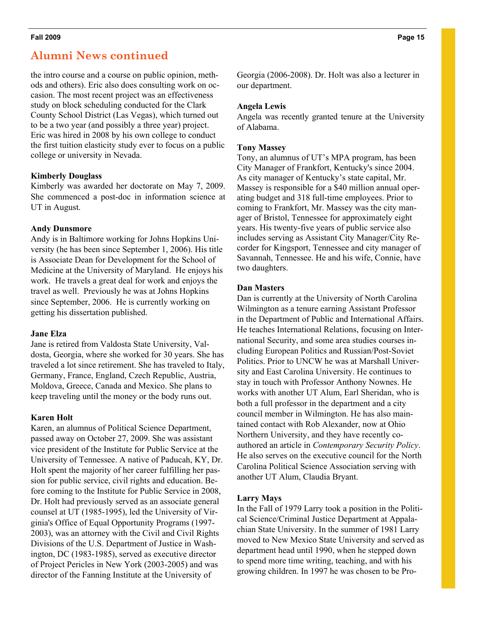# **Alumni News continued**

the intro course and a course on public opinion, methods and others). Eric also does consulting work on occasion. The most recent project was an effectiveness study on block scheduling conducted for the Clark County School District (Las Vegas), which turned out to be a two year (and possibly a three year) project. Eric was hired in 2008 by his own college to conduct the first tuition elasticity study ever to focus on a public college or university in Nevada.

## **Kimberly Douglass**

Kimberly was awarded her doctorate on May 7, 2009. She commenced a post-doc in information science at UT in August.

## **Andy Dunsmore**

Andy is in Baltimore working for Johns Hopkins University (he has been since September 1, 2006). His title is Associate Dean for Development for the School of Medicine at the University of Maryland. He enjoys his work. He travels a great deal for work and enjoys the travel as well. Previously he was at Johns Hopkins since September, 2006. He is currently working on getting his dissertation published.

### **Jane Elza**

Jane is retired from Valdosta State University, Valdosta, Georgia, where she worked for 30 years. She has traveled a lot since retirement. She has traveled to Italy, Germany, France, England, Czech Republic, Austria, Moldova, Greece, Canada and Mexico. She plans to keep traveling until the money or the body runs out.

# **Karen Holt**

Karen, an alumnus of Political Science Department, passed away on October 27, 2009. She was assistant vice president of the Institute for Public Service at the University of Tennessee. A native of Paducah, KY, Dr. Holt spent the majority of her career fulfilling her passion for public service, civil rights and education. Before coming to the Institute for Public Service in 2008, Dr. Holt had previously served as an associate general counsel at UT (1985-1995), led the University of Virginia's Office of Equal Opportunity Programs (1997- 2003), was an attorney with the Civil and Civil Rights Divisions of the U.S. Department of Justice in Washington, DC (1983-1985), served as executive director of Project Pericles in New York (2003-2005) and was director of the Fanning Institute at the University of

Georgia (2006-2008). Dr. Holt was also a lecturer in our department.

### **Angela Lewis**

Angela was recently granted tenure at the University of Alabama.

## **Tony Massey**

Tony, an alumnus of UT's MPA program, has been City Manager of Frankfort, Kentucky's since 2004. As city manager of Kentucky's state capital, Mr. Massey is responsible for a \$40 million annual operating budget and 318 full-time employees. Prior to coming to Frankfort, Mr. Massey was the city manager of Bristol, Tennessee for approximately eight years. His twenty-five years of public service also includes serving as Assistant City Manager/City Recorder for Kingsport, Tennessee and city manager of Savannah, Tennessee. He and his wife, Connie, have two daughters.

## **Dan Masters**

Dan is currently at the University of North Carolina Wilmington as a tenure earning Assistant Professor in the Department of Public and International Affairs. He teaches International Relations, focusing on International Security, and some area studies courses including European Politics and Russian/Post-Soviet Politics. Prior to UNCW he was at Marshall University and East Carolina University. He continues to stay in touch with Professor Anthony Nownes. He works with another UT Alum, Earl Sheridan, who is both a full professor in the department and a city council member in Wilmington. He has also maintained contact with Rob Alexander, now at Ohio Northern University, and they have recently coauthored an article in *Contemporary Security Policy*. He also serves on the executive council for the North Carolina Political Science Association serving with another UT Alum, Claudia Bryant.

# **Larry Mays**

In the Fall of 1979 Larry took a position in the Political Science/Criminal Justice Department at Appalachian State University. In the summer of 1981 Larry moved to New Mexico State University and served as department head until 1990, when he stepped down to spend more time writing, teaching, and with his growing children. In 1997 he was chosen to be Pro-